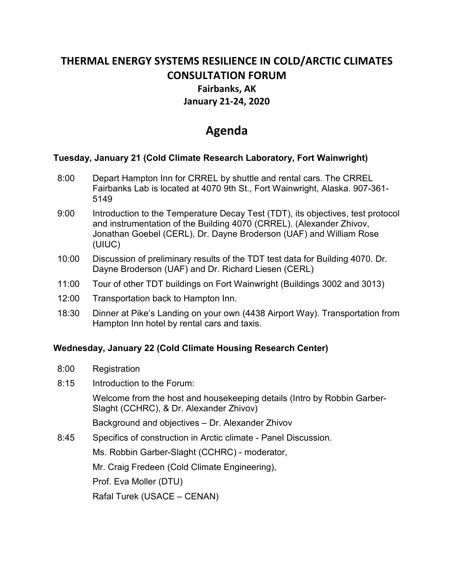# **THERMAL ENERGY SYSTEMS RESILIENCE IN COLD/ARCTIC CLIMATES CONSULTATION FORUM Fairbanks, AK January 21-24, 2020**

# **Agenda**

### **Tuesday, January 21 (Cold Climate Research Laboratory, Fort Wainwright)**

- 8:00 Depart Hampton Inn for CRREL by shuttle and rental cars. The CRREL Fairbanks Lab is located at 4070 9th St., Fort Wainwright, Alaska. 907-361- 5149
- 9:00 Introduction to the Temperature Decay Test (TDT), its objectives, test protocol and instrumentation of the Building 4070 (CRREL). (Alexander Zhivov, Jonathan Goebel (CERL), Dr. Dayne Broderson (UAF) and William Rose (UIUC)
- 10:00 Discussion of preliminary results of the TDT test data for Building 4070. Dr. Dayne Broderson (UAF) and Dr. Richard Liesen (CERL)
- 11:00 Tour of other TDT buildings on Fort Wainwright (Buildings 3002 and 3013)
- 12:00 Transportation back to Hampton Inn.
- 18:30 Dinner at Pike's Landing on your own (4438 Airport Way). Transportation from Hampton Inn hotel by rental cars and taxis.

### **Wednesday, January 22 (Cold Climate Housing Research Center)**

- 8:00 Registration
- 8:15 Introduction to the Forum:

Welcome from the host and housekeeping details (Intro by Robbin Garber-Slaght (CCHRC), & Dr. Alexander Zhivov)

Background and objectives – Dr. Alexander Zhivov

8:45 Specifics of construction in Arctic climate - Panel Discussion.

Ms. Robbin Garber-Slaght (CCHRC) - moderator,

Mr. Craig Fredeen (Cold Climate Engineering),

Prof. Eva Moller (DTU)

Rafal Turek (USACE – CENAN)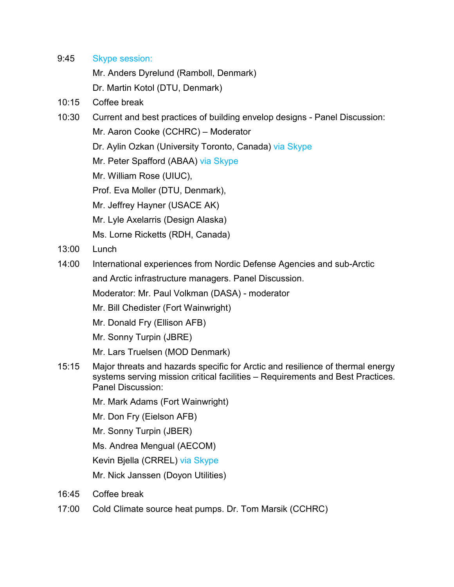9:45 Skype session:

Mr. Anders Dyrelund (Ramboll, Denmark)

Dr. Martin Kotol (DTU, Denmark)

- 10:15 Coffee break
- 10:30 Current and best practices of building envelop designs Panel Discussion:
	- Mr. Aaron Cooke (CCHRC) Moderator
	- Dr. Aylin Ozkan (University Toronto, Canada) via Skype
	- Mr. Peter Spafford (ABAA) via Skype
	- Mr. William Rose (UIUC),
	- Prof. Eva Moller (DTU, Denmark),
	- Mr. Jeffrey Hayner (USACE AK)
	- Mr. Lyle Axelarris (Design Alaska)
	- Ms. Lorne Ricketts (RDH, Canada)
- 13:00 Lunch
- 14:00 International experiences from Nordic Defense Agencies and sub-Arctic

and Arctic infrastructure managers. Panel Discussion.

Moderator: Mr. Paul Volkman (DASA) - moderator

- Mr. Bill Chedister (Fort Wainwright)
- Mr. Donald Fry (Ellison AFB)
- Mr. Sonny Turpin (JBRE)
- Mr. Lars Truelsen (MOD Denmark)
- 15:15 Major threats and hazards specific for Arctic and resilience of thermal energy systems serving mission critical facilities – Requirements and Best Practices. Panel Discussion:
	- Mr. Mark Adams (Fort Wainwright)
	- Mr. Don Fry (Eielson AFB)
	- Mr. Sonny Turpin (JBER)

Ms. Andrea Mengual (AECOM)

Kevin Bjella (CRREL) via Skype

Mr. Nick Janssen (Doyon Utilities)

- 16:45 Coffee break
- 17:00 Cold Climate source heat pumps. Dr. Tom Marsik (CCHRC)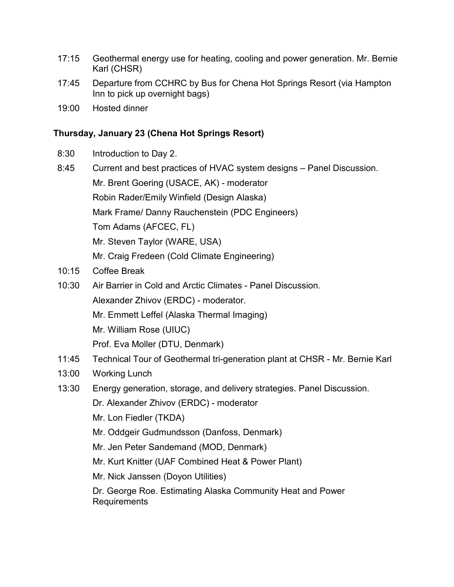- 17:15 Geothermal energy use for heating, cooling and power generation. Mr. Bernie Karl (CHSR)
- 17:45 Departure from CCHRC by Bus for Chena Hot Springs Resort (via Hampton Inn to pick up overnight bags)
- 19:00 Hosted dinner

## **Thursday, January 23 (Chena Hot Springs Resort)**

- 8:30 Introduction to Day 2.
- 8:45 Current and best practices of HVAC system designs Panel Discussion. Mr. Brent Goering (USACE, AK) - moderator Robin Rader/Emily Winfield (Design Alaska) Mark Frame/ Danny Rauchenstein (PDC Engineers) Tom Adams (AFCEC, FL) Mr. Steven Taylor (WARE, USA) Mr. Craig Fredeen (Cold Climate Engineering) 10:15 Coffee Break
- 10:30 Air Barrier in Cold and Arctic Climates Panel Discussion. Alexander Zhivov (ERDC) - moderator. Mr. Emmett Leffel (Alaska Thermal Imaging) Mr. William Rose (UIUC) Prof. Eva Moller (DTU, Denmark)
- 11:45 Technical Tour of Geothermal tri-generation plant at CHSR Mr. Bernie Karl
- 13:00 Working Lunch
- 13:30 Energy generation, storage, and delivery strategies. Panel Discussion.
	- Dr. Alexander Zhivov (ERDC) moderator
	- Mr. Lon Fiedler (TKDA)
	- Mr. Oddgeir Gudmundsson (Danfoss, Denmark)
	- Mr. Jen Peter Sandemand (MOD, Denmark)
	- Mr. Kurt Knitter (UAF Combined Heat & Power Plant)
	- Mr. Nick Janssen (Doyon Utilities)

Dr. George Roe. Estimating Alaska Community Heat and Power Requirements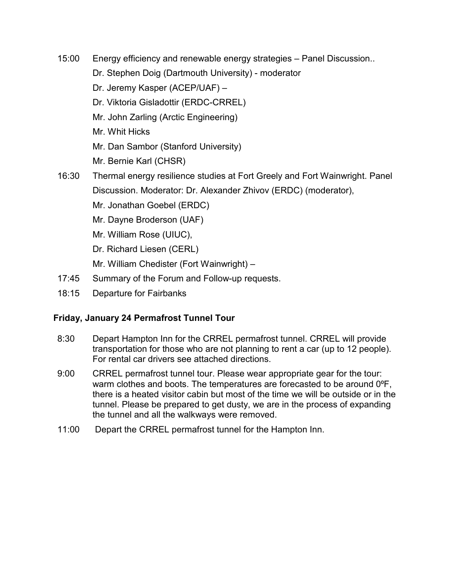- 15:00 Energy efficiency and renewable energy strategies Panel Discussion..
	- Dr. Stephen Doig (Dartmouth University) moderator
	- Dr. Jeremy Kasper (ACEP/UAF) –
	- Dr. Viktoria Gisladottir (ERDC-CRREL)
	- Mr. John Zarling (Arctic Engineering)
	- Mr. Whit Hicks
	- Mr. Dan Sambor (Stanford University)
	- Mr. Bernie Karl (CHSR)
- 16:30 Thermal energy resilience studies at Fort Greely and Fort Wainwright. Panel Discussion. Moderator: Dr. Alexander Zhivov (ERDC) (moderator),
	- Mr. Jonathan Goebel (ERDC)
	- Mr. Dayne Broderson (UAF)
	- Mr. William Rose (UIUC),
	- Dr. Richard Liesen (CERL)
	- Mr. William Chedister (Fort Wainwright) –
- 17:45 Summary of the Forum and Follow-up requests.
- 18:15 Departure for Fairbanks

## **Friday, January 24 Permafrost Tunnel Tour**

- 8:30 Depart Hampton Inn for the CRREL permafrost tunnel. CRREL will provide transportation for those who are not planning to rent a car (up to 12 people). For rental car drivers see attached directions.
- 9:00 CRREL permafrost tunnel tour. Please wear appropriate gear for the tour: warm clothes and boots. The temperatures are forecasted to be around 0°F, there is a heated visitor cabin but most of the time we will be outside or in the tunnel. Please be prepared to get dusty, we are in the process of expanding the tunnel and all the walkways were removed.
- 11:00 Depart the CRREL permafrost tunnel for the Hampton Inn.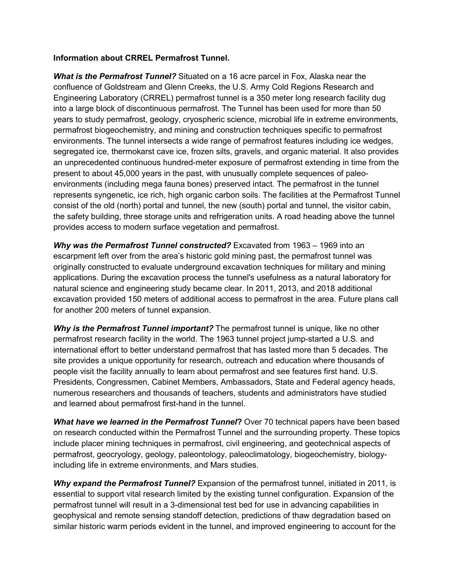#### **Information about CRREL Permafrost Tunnel.**

*What is the Permafrost Tunnel?* Situated on a 16 acre parcel in Fox, Alaska near the confluence of Goldstream and Glenn Creeks, the U.S. Army Cold Regions Research and Engineering Laboratory (CRREL) permafrost tunnel is a 350 meter long research facility dug into a large block of discontinuous permafrost. The Tunnel has been used for more than 50 years to study permafrost, geology, cryospheric science, microbial life in extreme environments, permafrost biogeochemistry, and mining and construction techniques specific to permafrost environments. The tunnel intersects a wide range of permafrost features including ice wedges, segregated ice, thermokarst cave ice, frozen silts, gravels, and organic material. It also provides an unprecedented continuous hundred-meter exposure of permafrost extending in time from the present to about 45,000 years in the past, with unusually complete sequences of paleoenvironments (including mega fauna bones) preserved intact. The permafrost in the tunnel represents syngenetic, ice rich, high organic carbon soils. The facilities at the Permafrost Tunnel consist of the old (north) portal and tunnel, the new (south) portal and tunnel, the visitor cabin, the safety building, three storage units and refrigeration units. A road heading above the tunnel provides access to modern surface vegetation and permafrost.

*Why was the Permafrost Tunnel constructed?* Excavated from 1963 – 1969 into an escarpment left over from the area's historic gold mining past, the permafrost tunnel was originally constructed to evaluate underground excavation techniques for military and mining applications. During the excavation process the tunnel's usefulness as a natural laboratory for natural science and engineering study became clear. In 2011, 2013, and 2018 additional excavation provided 150 meters of additional access to permafrost in the area. Future plans call for another 200 meters of tunnel expansion.

*Why is the Permafrost Tunnel important?* The permafrost tunnel is unique, like no other permafrost research facility in the world. The 1963 tunnel project jump-started a U.S. and international effort to better understand permafrost that has lasted more than 5 decades. The site provides a unique opportunity for research, outreach and education where thousands of people visit the facility annually to learn about permafrost and see features first hand. U.S. Presidents, Congressmen, Cabinet Members, Ambassadors, State and Federal agency heads, numerous researchers and thousands of teachers, students and administrators have studied and learned about permafrost first-hand in the tunnel.

*What have we learned in the Permafrost Tunnel***?** Over 70 technical papers have been based on research conducted within the Permafrost Tunnel and the surrounding property. These topics include placer mining techniques in permafrost, civil engineering, and geotechnical aspects of permafrost, geocryology, geology, paleontology, paleoclimatology, biogeochemistry, biologyincluding life in extreme environments, and Mars studies.

*Why expand the Permafrost Tunnel?* Expansion of the permafrost tunnel, initiated in 2011, is essential to support vital research limited by the existing tunnel configuration. Expansion of the permafrost tunnel will result in a 3-dimensional test bed for use in advancing capabilities in geophysical and remote sensing standoff detection, predictions of thaw degradation based on similar historic warm periods evident in the tunnel, and improved engineering to account for the